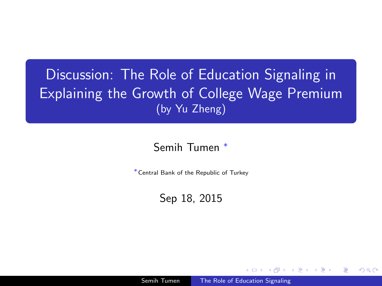## Discussion: The Role of Education Signaling in Explaining the Growth of College Wage Premium (by Yu Zheng)

#### Semih Tumen <sup>∗</sup>

<sup>∗</sup>Central Bank of the Republic of Turkey

<span id="page-0-0"></span>Sep 18, 2015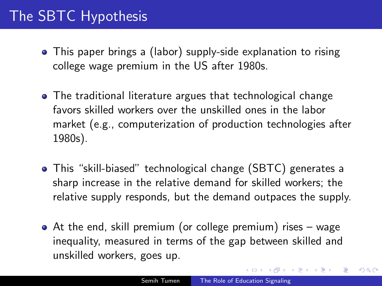# The SBTC Hypothesis

- This paper brings a (labor) supply-side explanation to rising college wage premium in the US after 1980s.
- The traditional literature argues that technological change favors skilled workers over the unskilled ones in the labor market (e.g., computerization of production technologies after 1980s).
- This "skill-biased" technological change (SBTC) generates a sharp increase in the relative demand for skilled workers; the relative supply responds, but the demand outpaces the supply.
- <span id="page-1-0"></span>At the end, skill premium (or college premium) rises – wage inequality, measured in terms of the gap between skilled and unskilled workers, goes up.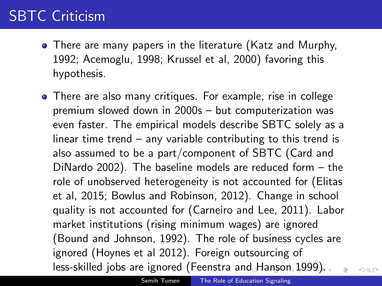# SBTC Criticism

- There are many papers in the literature (Katz and Murphy, 1992; Acemoglu, 1998; Krussel et al, 2000) favoring this hypothesis.
- <span id="page-2-0"></span>There are also many critiques. For example, rise in college premium slowed down in 2000s – but computerization was even faster. The empirical models describe SBTC solely as a linear time trend – any variable contributing to this trend is also assumed to be a part/component of SBTC (Card and DiNardo 2002). The baseline models are reduced form – the role of unobserved heterogeneity is not accounted for (Elitas et al, 2015; Bowlus and Robinson, 2012). Change in school quality is not accounted for (Carneiro and Lee, 2011). Labor market institutions (rising minimum wages) are ignored (Bound and Johnson, 1992). The role of business cycles are ignored (Hoynes et al 2012). Foreign outsourcing of less-skilled jobs are ignored (Feenstra a[nd](#page-1-0) [H](#page-3-0)[a](#page-1-0)[ns](#page-2-0)[on](#page-3-0) [1](#page-0-0)[99](#page-7-0)[9\)](#page-0-0)[.](#page-7-0)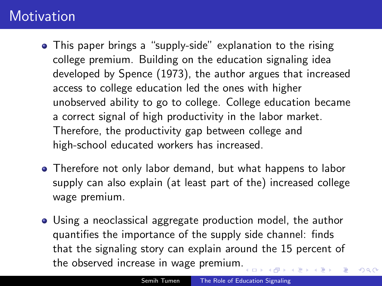### **Motivation**

- This paper brings a "supply-side" explanation to the rising college premium. Building on the education signaling idea developed by Spence (1973), the author argues that increased access to college education led the ones with higher unobserved ability to go to college. College education became a correct signal of high productivity in the labor market. Therefore, the productivity gap between college and high-school educated workers has increased.
- Therefore not only labor demand, but what happens to labor supply can also explain (at least part of the) increased college wage premium.
- <span id="page-3-0"></span>Using a neoclassical aggregate production model, the author quantifies the importance of the supply side channel: finds that the signaling story can explain around the 15 percent of the observed increase in wage premium[.](#page-2-0)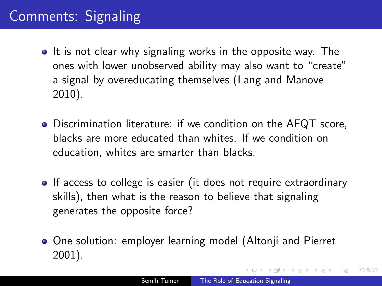# Comments: Signaling

- It is not clear why signaling works in the opposite way. The ones with lower unobserved ability may also want to "create" a signal by overeducating themselves (Lang and Manove 2010).
- Discrimination literature: if we condition on the AFQT score, blacks are more educated than whites. If we condition on education, whites are smarter than blacks.
- If access to college is easier (it does not require extraordinary skills), then what is the reason to believe that signaling generates the opposite force?
- One solution: employer learning model (Altonii and Pierret 2001).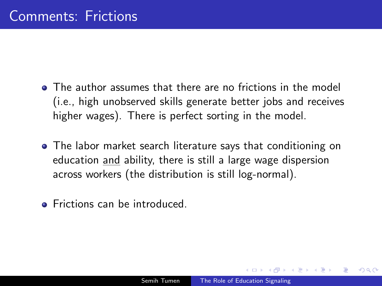- **•** The author assumes that there are no frictions in the model (i.e., high unobserved skills generate better jobs and receives higher wages). There is perfect sorting in the model.
- The labor market search literature says that conditioning on education and ability, there is still a large wage dispersion across workers (the distribution is still log-normal).
- Frictions can be introduced.

 $\Omega$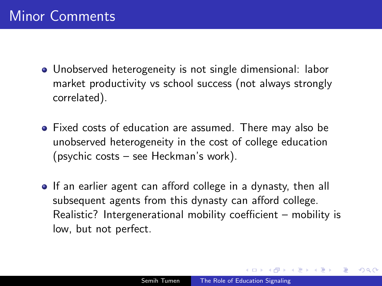- Unobserved heterogeneity is not single dimensional: labor market productivity vs school success (not always strongly correlated).
- Fixed costs of education are assumed. There may also be unobserved heterogeneity in the cost of college education (psychic costs – see Heckman's work).
- If an earlier agent can afford college in a dynasty, then all subsequent agents from this dynasty can afford college. Realistic? Intergenerational mobility coefficient – mobility is low, but not perfect.